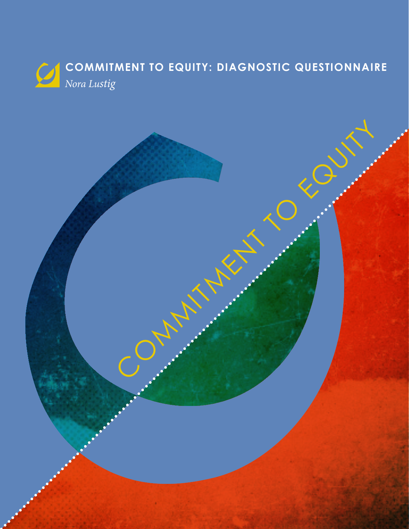

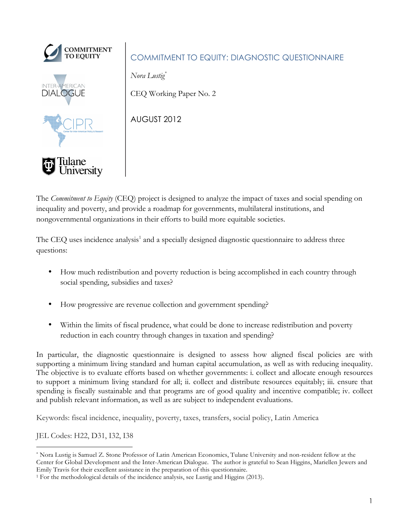

# COMMITMENT TO EQUITY: DIAGNOSTIC QUESTIONNAIRE

*Nora Lustig\**

CEQ Working Paper No. 2

AUGUST 2012

The *Commitment to Equity* (CEQ) project is designed to analyze the impact of taxes and social spending on inequality and poverty, and provide a roadmap for governments, multilateral institutions, and nongovernmental organizations in their efforts to build more equitable societies.

The CEQ uses incidence analysis<sup>1</sup> and a specially designed diagnostic questionnaire to address three questions:

- How much redistribution and poverty reduction is being accomplished in each country through social spending, subsidies and taxes?
- How progressive are revenue collection and government spending?
- Within the limits of fiscal prudence, what could be done to increase redistribution and poverty reduction in each country through changes in taxation and spending?

In particular, the diagnostic questionnaire is designed to assess how aligned fiscal policies are with supporting a minimum living standard and human capital accumulation, as well as with reducing inequality. The objective is to evaluate efforts based on whether governments: i. collect and allocate enough resources to support a minimum living standard for all; ii. collect and distribute resources equitably; iii. ensure that spending is fiscally sustainable and that programs are of good quality and incentive compatible; iv. collect and publish relevant information, as well as are subject to independent evaluations.

Keywords: fiscal incidence, inequality, poverty, taxes, transfers, social policy, Latin America

JEL Codes: H22, D31, I32, I38

 $\overline{a}$ \* Nora Lustig is Samuel Z. Stone Professor of Latin American Economics, Tulane University and non-resident fellow at the Center for Global Development and the Inter-American Dialogue. The author is grateful to Sean Higgins, Mariellen Jewers and Emily Travis for their excellent assistance in the preparation of this questionnaire.

<sup>&</sup>lt;sup>1</sup> For the methodological details of the incidence analysis, see Lustig and Higgins (2013).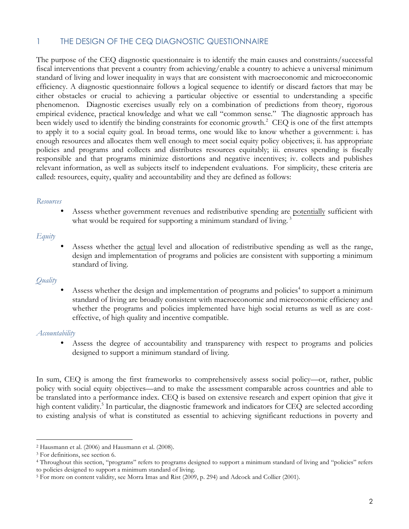# 1 THE DESIGN OF THE CEQ DIAGNOSTIC QUESTIONNAIRE

The purpose of the CEQ diagnostic questionnaire is to identify the main causes and constraints/successful fiscal interventions that prevent a country from achieving/enable a country to achieve a universal minimum standard of living and lower inequality in ways that are consistent with macroeconomic and microeconomic efficiency. A diagnostic questionnaire follows a logical sequence to identify or discard factors that may be either obstacles or crucial to achieving a particular objective or essential to understanding a specific phenomenon. Diagnostic exercises usually rely on a combination of predictions from theory, rigorous empirical evidence, practical knowledge and what we call "common sense." The diagnostic approach has been widely used to identify the binding constraints for economic growth.<sup>2</sup> CEQ is one of the first attempts to apply it to a social equity goal. In broad terms, one would like to know whether a government: i. has enough resources and allocates them well enough to meet social equity policy objectives; ii. has appropriate policies and programs and collects and distributes resources equitably; iii. ensures spending is fiscally responsible and that programs minimize distortions and negative incentives; iv. collects and publishes relevant information, as well as subjects itself to independent evaluations. For simplicity, these criteria are called: resources, equity, quality and accountability and they are defined as follows:

#### *Resources*

Assess whether government revenues and redistributive spending are potentially sufficient with what would be required for supporting a minimum standard of living.<sup>3</sup>

### *Equity*

• Assess whether the actual level and allocation of redistributive spending as well as the range, design and implementation of programs and policies are consistent with supporting a minimum standard of living.

### *Quality*

• Assess whether the design and implementation of programs and policies<sup>4</sup> to support a minimum standard of living are broadly consistent with macroeconomic and microeconomic efficiency and whether the programs and policies implemented have high social returns as well as are costeffective, of high quality and incentive compatible.

#### *Accountability*

 $\overline{a}$ 

• Assess the degree of accountability and transparency with respect to programs and policies designed to support a minimum standard of living.

In sum, CEQ is among the first frameworks to comprehensively assess social policy—or, rather, public policy with social equity objectives—and to make the assessment comparable across countries and able to be translated into a performance index. CEQ is based on extensive research and expert opinion that give it high content validity.<sup>5</sup> In particular, the diagnostic framework and indicators for CEQ are selected according to existing analysis of what is constituted as essential to achieving significant reductions in poverty and

<sup>2</sup> Hausmann et al. (2006) and Hausmann et al. (2008).

<sup>3</sup> For definitions, see section 6.

<sup>4</sup> Throughout this section, "programs" refers to programs designed to support a minimum standard of living and "policies" refers to policies designed to support a minimum standard of living.

<sup>5</sup> For more on content validity, see Morra Imas and Rist (2009, p. 294) and Adcock and Collier (2001).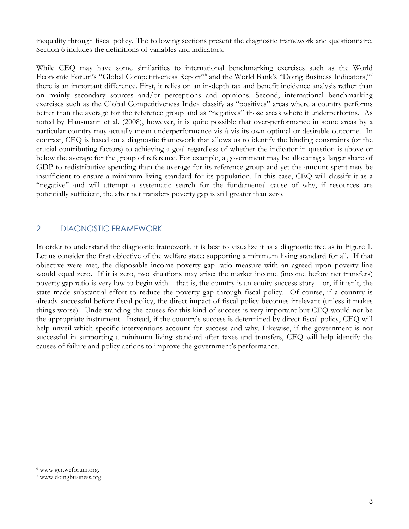inequality through fiscal policy. The following sections present the diagnostic framework and questionnaire. Section 6 includes the definitions of variables and indicators.

While CEQ may have some similarities to international benchmarking exercises such as the World Economic Forum's "Global Competitiveness Report"<sup>6</sup> and the World Bank's "Doing Business Indicators,"<sup>7</sup> there is an important difference. First, it relies on an in-depth tax and benefit incidence analysis rather than on mainly secondary sources and/or perceptions and opinions. Second, international benchmarking exercises such as the Global Competitiveness Index classify as "positives" areas where a country performs better than the average for the reference group and as "negatives" those areas where it underperforms. As noted by Hausmann et al. (2008), however, it is quite possible that over-performance in some areas by a particular country may actually mean underperformance vis-à-vis its own optimal or desirable outcome. In contrast, CEQ is based on a diagnostic framework that allows us to identify the binding constraints (or the crucial contributing factors) to achieving a goal regardless of whether the indicator in question is above or below the average for the group of reference. For example, a government may be allocating a larger share of GDP to redistributive spending than the average for its reference group and yet the amount spent may be insufficient to ensure a minimum living standard for its population. In this case, CEQ will classify it as a "negative" and will attempt a systematic search for the fundamental cause of why, if resources are potentially sufficient, the after net transfers poverty gap is still greater than zero.

# 2 DIAGNOSTIC FRAMEWORK

In order to understand the diagnostic framework, it is best to visualize it as a diagnostic tree as in Figure 1. Let us consider the first objective of the welfare state: supporting a minimum living standard for all. If that objective were met, the disposable income poverty gap ratio measure with an agreed upon poverty line would equal zero. If it is zero, two situations may arise: the market income (income before net transfers) poverty gap ratio is very low to begin with—that is, the country is an equity success story—or, if it isn't, the state made substantial effort to reduce the poverty gap through fiscal policy. Of course, if a country is already successful before fiscal policy, the direct impact of fiscal policy becomes irrelevant (unless it makes things worse). Understanding the causes for this kind of success is very important but CEQ would not be the appropriate instrument. Instead, if the country's success is determined by direct fiscal policy, CEQ will help unveil which specific interventions account for success and why. Likewise, if the government is not successful in supporting a minimum living standard after taxes and transfers, CEQ will help identify the causes of failure and policy actions to improve the government's performance.

<sup>6</sup> www.gcr.weforum.org.

<sup>7</sup> www.doingbusiness.org.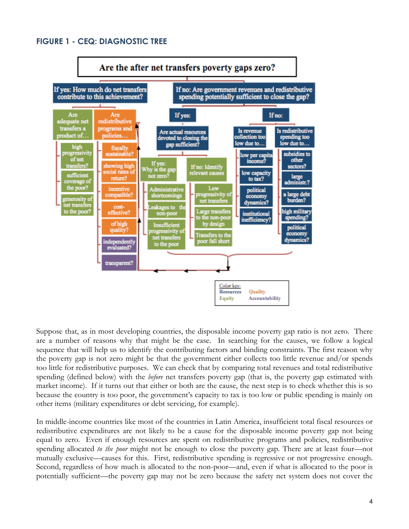# **FIGURE 1 - CEQ: DIAGNOSTIC TREE**



Suppose that, as in most developing countries, the disposable income poverty gap ratio is not zero. There are a number of reasons why that might be the case. In searching for the causes, we follow a logical sequence that will help us to identify the contributing factors and binding constraints. The first reason why the poverty gap is not zero might be that the government either collects too little revenue and/or spends too little for redistributive purposes. We can check that by comparing total revenues and total redistributive spending (defined below) with the *before* net transfers poverty gap (that is, the poverty gap estimated with market income). If it turns out that either or both are the cause, the next step is to check whether this is so because the country is too poor, the government's capacity to tax is too low or public spending is mainly on other items (military expenditures or debt servicing, for example).

In middle-income countries like most of the countries in Latin America, insufficient total fiscal resources or redistributive expenditures are not likely to be a cause for the disposable income poverty gap not being equal to zero. Even if enough resources are spent on redistributive programs and policies, redistributive spending allocated *to the poor* might not be enough to close the poverty gap. There are at least four—not mutually exclusive—causes for this. First, redistributive spending is regressive or not progressive enough. Second, regardless of how much is allocated to the non-poor—and, even if what is allocated to the poor is potentially sufficient—the poverty gap may not be zero because the safety net system does not cover the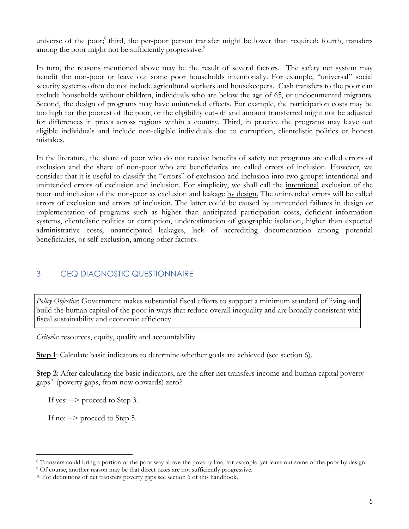universe of the poor;<sup>8</sup> third, the per-poor person transfer might be lower than required; fourth, transfers among the poor might not be sufficiently progressive.<sup>9</sup>

In turn, the reasons mentioned above may be the result of several factors. The safety net system may benefit the non-poor or leave out some poor households intentionally. For example, "universal" social security systems often do not include agricultural workers and housekeepers. Cash transfers to the poor can exclude households without children, individuals who are below the age of 65, or undocumented migrants. Second, the design of programs may have unintended effects. For example, the participation costs may be too high for the poorest of the poor, or the eligibility cut-off and amount transferred might not be adjusted for differences in prices across regions within a country. Third, in practice the programs may leave out eligible individuals and include non-eligible individuals due to corruption, clientelistic politics or honest mistakes.

In the literature, the share of poor who do not receive benefits of safety net programs are called errors of exclusion and the share of non-poor who are beneficiaries are called errors of inclusion. However, we consider that it is useful to classify the "errors" of exclusion and inclusion into two groups: intentional and unintended errors of exclusion and inclusion. For simplicity, we shall call the intentional exclusion of the poor and inclusion of the non-poor as exclusion and leakage by design. The unintended errors will be called errors of exclusion and errors of inclusion. The latter could be caused by unintended failures in design or implementation of programs such as higher than anticipated participation costs, deficient information systems, clientelistic politics or corruption, underestimation of geographic isolation, higher than expected administrative costs, unanticipated leakages, lack of accrediting documentation among potential beneficiaries, or self-exclusion, among other factors.

# 3 CEQ DIAGNOSTIC QUESTIONNAIRE

*Policy Objective*: Government makes substantial fiscal efforts to support a minimum standard of living and build the human capital of the poor in ways that reduce overall inequality and are broadly consistent with fiscal sustainability and economic efficiency

*Criteria*: resources, equity, quality and accountability

**Step 1**: Calculate basic indicators to determine whether goals are achieved (see section 6).

**Step 2**: After calculating the basic indicators, are the after net transfers income and human capital poverty gaps $^{10}$  (poverty gaps, from now onwards) zero?

If yes:  $\Rightarrow$  proceed to Step 3.

If no: => proceed to Step 5.

<sup>8</sup> Transfers could bring a portion of the poor way above the poverty line, for example, yet leave out some of the poor by design. 9 Of course, another reason may be that direct taxes are not sufficiently progressive.

<sup>&</sup>lt;sup>10</sup> For definitions of net transfers poverty gaps see section 6 of this handbook.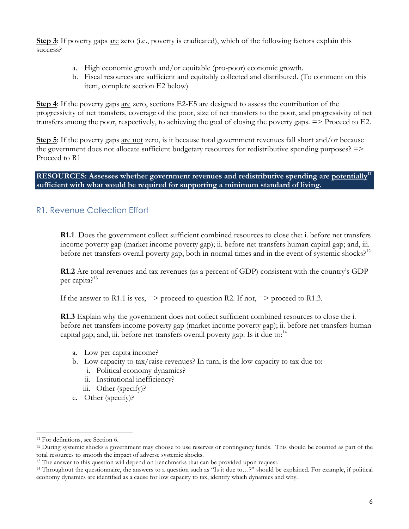**Step 3**: If poverty gaps are zero (i.e., poverty is eradicated), which of the following factors explain this success?

- a. High economic growth and/or equitable (pro-poor) economic growth.
- b. Fiscal resources are sufficient and equitably collected and distributed. (To comment on this item, complete section E2 below)

**Step 4**: If the poverty gaps are zero, sections E2-E5 are designed to assess the contribution of the progressivity of net transfers, coverage of the poor, size of net transfers to the poor, and progressivity of net transfers among the poor, respectively, to achieving the goal of closing the poverty gaps. => Proceed to E2.

**Step 5**: If the poverty gaps are not zero, is it because total government revenues fall short and/or because the government does not allocate sufficient budgetary resources for redistributive spending purposes? => Proceed to R1

**RESOURCES:** Assesses whether government revenues and redistributive spending are potentially<sup>11</sup> **sufficient with what would be required for supporting a minimum standard of living.** 

# R1. Revenue Collection Effort

**R1.1** Does the government collect sufficient combined resources to close the: i. before net transfers income poverty gap (market income poverty gap); ii. before net transfers human capital gap; and, iii. before net transfers overall poverty gap, both in normal times and in the event of systemic shocks?<sup>12</sup>

**R1.2** Are total revenues and tax revenues (as a percent of GDP) consistent with the country's GDP per capita?<sup>13</sup>

If the answer to R1.1 is yes,  $\Rightarrow$  proceed to question R2. If not,  $\Rightarrow$  proceed to R1.3.

**R1.3** Explain why the government does not collect sufficient combined resources to close the i. before net transfers income poverty gap (market income poverty gap); ii. before net transfers human capital gap; and, iii. before net transfers overall poverty gap. Is it due to: $^{14}$ 

- a. Low per capita income?
- b. Low capacity to tax/raise revenues? In turn, is the low capacity to tax due to:
	- i. Political economy dynamics?
	- ii. Institutional inefficiency?
	- iii. Other (specify)?
- c. Other (specify)?

<sup>11</sup> For definitions, see Section 6.

<sup>12</sup> During systemic shocks a government may choose to use reserves or contingency funds. This should be counted as part of the total resources to smooth the impact of adverse systemic shocks.

<sup>&</sup>lt;sup>13</sup> The answer to this question will depend on benchmarks that can be provided upon request.

<sup>14</sup> Throughout the questionnaire, the answers to a question such as "Is it due to…?" should be explained. For example, if political economy dynamics are identified as a cause for low capacity to tax, identify which dynamics and why.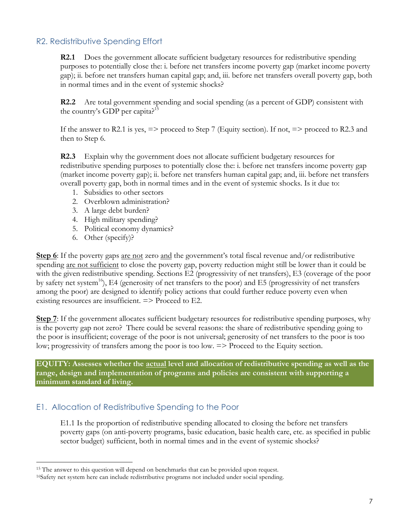# R2. Redistributive Spending Effort

**R2.1** Does the government allocate sufficient budgetary resources for redistributive spending purposes to potentially close the: i. before net transfers income poverty gap (market income poverty gap); ii. before net transfers human capital gap; and, iii. before net transfers overall poverty gap, both in normal times and in the event of systemic shocks?

**R2.2** Are total government spending and social spending (as a percent of GDP) consistent with the country's GDP per capita?<sup>15</sup>

If the answer to R2.1 is yes,  $\Rightarrow$  proceed to Step 7 (Equity section). If not,  $\Rightarrow$  proceed to R2.3 and then to Step 6.

**R2.3** Explain why the government does not allocate sufficient budgetary resources for redistributive spending purposes to potentially close the: i. before net transfers income poverty gap (market income poverty gap); ii. before net transfers human capital gap; and, iii. before net transfers overall poverty gap, both in normal times and in the event of systemic shocks. Is it due to:

- 1. Subsidies to other sectors
- 2. Overblown administration?
- 3. A large debt burden?
- 4. High military spending?
- 5. Political economy dynamics?
- 6. Other (specify)?

 $\overline{a}$ 

**Step 6**: If the poverty gaps are not zero and the government's total fiscal revenue and/or redistributive spending are not sufficient to close the poverty gap, poverty reduction might still be lower than it could be with the given redistributive spending. Sections E2 (progressivity of net transfers), E3 (coverage of the poor by safety net system<sup>16</sup>), E4 (generosity of net transfers to the poor) and E5 (progressivity of net transfers among the poor) are designed to identify policy actions that could further reduce poverty even when existing resources are insufficient.  $\Rightarrow$  Proceed to E2.

**Step 7:** If the government allocates sufficient budgetary resources for redistributive spending purposes, why is the poverty gap not zero? There could be several reasons: the share of redistributive spending going to the poor is insufficient; coverage of the poor is not universal; generosity of net transfers to the poor is too low; progressivity of transfers among the poor is too low. => Proceed to the Equity section.

**EQUITY: Assesses whether the actual level and allocation of redistributive spending as well as the range, design and implementation of programs and policies are consistent with supporting a minimum standard of living.** 

# E1. Allocation of Redistributive Spending to the Poor

E1.1 Is the proportion of redistributive spending allocated to closing the before net transfers poverty gaps (on anti-poverty programs, basic education, basic health care, etc. as specified in public sector budget) sufficient, both in normal times and in the event of systemic shocks?

<sup>&</sup>lt;sup>15</sup> The answer to this question will depend on benchmarks that can be provided upon request.

<sup>16</sup>Safety net system here can include redistributive programs not included under social spending.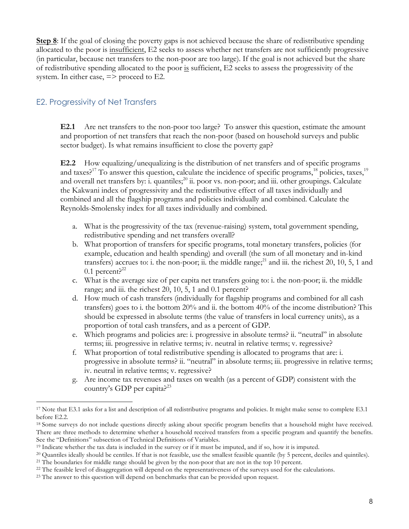**Step 8**: If the goal of closing the poverty gaps is not achieved because the share of redistributive spending allocated to the poor is insufficient, E2 seeks to assess whether net transfers are not sufficiently progressive (in particular, because net transfers to the non-poor are too large). If the goal is not achieved but the share of redistributive spending allocated to the poor is sufficient, E2 seeks to assess the progressivity of the system. In either case,  $\Rightarrow$  proceed to E2.

# E2. Progressivity of Net Transfers

 $\overline{a}$ 

**E2.1** Are net transfers to the non-poor too large? To answer this question, estimate the amount and proportion of net transfers that reach the non-poor (based on household surveys and public sector budget). Is what remains insufficient to close the poverty gap?

**E2.2** How equalizing/unequalizing is the distribution of net transfers and of specific programs and taxes?<sup>17</sup> To answer this question, calculate the incidence of specific programs,<sup>18</sup> policies, taxes,<sup>19</sup> and overall net transfers by: i. quantiles;<sup>20</sup> ii. poor vs. non-poor; and iii. other groupings. Calculate the Kakwani index of progressivity and the redistributive effect of all taxes individually and combined and all the flagship programs and policies individually and combined. Calculate the Reynolds-Smolensky index for all taxes individually and combined.

- a. What is the progressivity of the tax (revenue-raising) system, total government spending, redistributive spending and net transfers overall?
- b. What proportion of transfers for specific programs, total monetary transfers, policies (for example, education and health spending) and overall (the sum of all monetary and in-kind transfers) accrues to: i. the non-poor; ii. the middle range;  $^{21}$  and iii. the richest 20, 10, 5, 1 and  $0.1$  percent?<sup>22</sup>
- c. What is the average size of per capita net transfers going to: i. the non-poor; ii. the middle range; and iii. the richest 20, 10, 5, 1 and 0.1 percent?
- d. How much of cash transfers (individually for flagship programs and combined for all cash transfers) goes to i. the bottom 20% and ii. the bottom 40% of the income distribution? This should be expressed in absolute terms (the value of transfers in local currency units), as a proportion of total cash transfers, and as a percent of GDP.
- e. Which programs and policies are: i. progressive in absolute terms? ii. "neutral" in absolute terms; iii. progressive in relative terms; iv. neutral in relative terms; v. regressive?
- f. What proportion of total redistributive spending is allocated to programs that are: i. progressive in absolute terms? ii. "neutral" in absolute terms; iii. progressive in relative terms; iv. neutral in relative terms; v. regressive?
- g. Are income tax revenues and taxes on wealth (as a percent of GDP) consistent with the country's GDP per capita?<sup>23</sup>

<sup>&</sup>lt;sup>17</sup> Note that E3.1 asks for a list and description of all redistributive programs and policies. It might make sense to complete E3.1 before E2.2.

<sup>18</sup> Some surveys do not include questions directly asking about specific program benefits that a household might have received. There are three methods to determine whether a household received transfers from a specific program and quantify the benefits. See the "Definitions" subsection of Technical Definitions of Variables.

<sup>19</sup> Indicate whether the tax data is included in the survey or if it must be imputed, and if so, how it is imputed.

<sup>&</sup>lt;sup>20</sup> Quantiles ideally should be centiles. If that is not feasible, use the smallest feasible quantile (by 5 percent, deciles and quintiles).

<sup>&</sup>lt;sup>21</sup> The boundaries for middle range should be given by the non-poor that are not in the top 10 percent.

<sup>&</sup>lt;sup>22</sup> The feasible level of disaggregation will depend on the representativeness of the surveys used for the calculations.

<sup>&</sup>lt;sup>23</sup> The answer to this question will depend on benchmarks that can be provided upon request.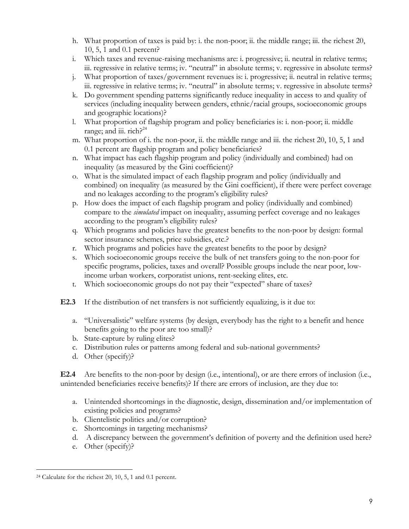- h. What proportion of taxes is paid by: i. the non-poor; ii. the middle range; iii. the richest 20, 10, 5, 1 and 0.1 percent?
- i. Which taxes and revenue-raising mechanisms are: i. progressive; ii. neutral in relative terms; iii. regressive in relative terms; iv. "neutral" in absolute terms; v. regressive in absolute terms?
- j. What proportion of taxes/government revenues is: i. progressive; ii. neutral in relative terms; iii. regressive in relative terms; iv. "neutral" in absolute terms; v. regressive in absolute terms?
- k. Do government spending patterns significantly reduce inequality in access to and quality of services (including inequality between genders, ethnic/racial groups, socioeconomic groups and geographic locations)?
- l. What proportion of flagship program and policy beneficiaries is: i. non-poor; ii. middle range; and iii.  $rich.$ <sup>24</sup>
- m. What proportion of i. the non-poor, ii. the middle range and iii. the richest 20, 10, 5, 1 and 0.1 percent are flagship program and policy beneficiaries?
- n. What impact has each flagship program and policy (individually and combined) had on inequality (as measured by the Gini coefficient)?
- o. What is the simulated impact of each flagship program and policy (individually and combined) on inequality (as measured by the Gini coefficient), if there were perfect coverage and no leakages according to the program's eligibility rules?
- p. How does the impact of each flagship program and policy (individually and combined) compare to the *simulated* impact on inequality, assuming perfect coverage and no leakages according to the program's eligibility rules?
- q. Which programs and policies have the greatest benefits to the non-poor by design: formal sector insurance schemes, price subsidies, etc.?
- r. Which programs and policies have the greatest benefits to the poor by design?
- s. Which socioeconomic groups receive the bulk of net transfers going to the non-poor for specific programs, policies, taxes and overall? Possible groups include the near poor, lowincome urban workers, corporatist unions, rent-seeking elites, etc.
- t. Which socioeconomic groups do not pay their "expected" share of taxes?
- **E2.3** If the distribution of net transfers is not sufficiently equalizing, is it due to:
	- a. "Universalistic" welfare systems (by design, everybody has the right to a benefit and hence benefits going to the poor are too small)?
	- b. State-capture by ruling elites?
	- c. Distribution rules or patterns among federal and sub-national governments?
	- d. Other (specify)?

**E2.4** Are benefits to the non-poor by design (i.e., intentional), or are there errors of inclusion (i.e., unintended beneficiaries receive benefits)? If there are errors of inclusion, are they due to:

- a. Unintended shortcomings in the diagnostic, design, dissemination and/or implementation of existing policies and programs?
- b. Clientelistic politics and/or corruption?
- c. Shortcomings in targeting mechanisms?
- d. A discrepancy between the government's definition of poverty and the definition used here?
- e. Other (specify)?

<sup>24</sup> Calculate for the richest 20, 10, 5, 1 and 0.1 percent.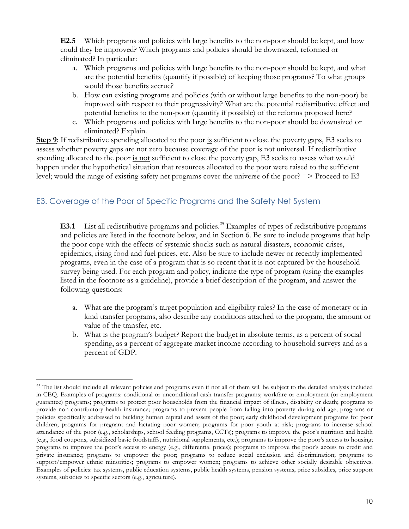**E2.5** Which programs and policies with large benefits to the non-poor should be kept, and how could they be improved? Which programs and policies should be downsized, reformed or eliminated? In particular:

- a. Which programs and policies with large benefits to the non-poor should be kept, and what are the potential benefits (quantify if possible) of keeping those programs? To what groups would those benefits accrue?
- b. How can existing programs and policies (with or without large benefits to the non-poor) be improved with respect to their progressivity? What are the potential redistributive effect and potential benefits to the non-poor (quantify if possible) of the reforms proposed here?
- c. Which programs and policies with large benefits to the non-poor should be downsized or eliminated? Explain.

**Step 9**: If redistributive spending allocated to the poor is sufficient to close the poverty gaps, E3 seeks to assess whether poverty gaps are not zero because coverage of the poor is not universal. If redistributive spending allocated to the poor is not sufficient to close the poverty gap, E3 seeks to assess what would happen under the hypothetical situation that resources allocated to the poor were raised to the sufficient level; would the range of existing safety net programs cover the universe of the poor? => Proceed to E3

# E3. Coverage of the Poor of Specific Programs and the Safety Net System

**E3.1** List all redistributive programs and policies.<sup>25</sup> Examples of types of redistributive programs and policies are listed in the footnote below, and in Section 6. Be sure to include programs that help the poor cope with the effects of systemic shocks such as natural disasters, economic crises, epidemics, rising food and fuel prices, etc. Also be sure to include newer or recently implemented programs, even in the case of a program that is so recent that it is not captured by the household survey being used. For each program and policy, indicate the type of program (using the examples listed in the footnote as a guideline), provide a brief description of the program, and answer the following questions:

- a. What are the program's target population and eligibility rules? In the case of monetary or in kind transfer programs, also describe any conditions attached to the program, the amount or value of the transfer, etc.
- b. What is the program's budget? Report the budget in absolute terms, as a percent of social spending, as a percent of aggregate market income according to household surveys and as a percent of GDP.

 $\overline{a}$ <sup>25</sup> The list should include all relevant policies and programs even if not all of them will be subject to the detailed analysis included in CEQ. Examples of programs: conditional or unconditional cash transfer programs; workfare or employment (or employment guarantee) programs; programs to protect poor households from the financial impact of illness, disability or death; programs to provide non-contributory health insurance; programs to prevent people from falling into poverty during old age; programs or policies specifically addressed to building human capital and assets of the poor; early childhood development programs for poor children; programs for pregnant and lactating poor women; programs for poor youth at risk; programs to increase school attendance of the poor (e.g., scholarships, school feeding programs, CCTs); programs to improve the poor's nutrition and health (e.g., food coupons, subsidized basic foodstuffs, nutritional supplements, etc.); programs to improve the poor's access to housing; programs to improve the poor's access to energy (e.g., differential prices); programs to improve the poor's access to credit and private insurance; programs to empower the poor; programs to reduce social exclusion and discrimination; programs to support/empower ethnic minorities; programs to empower women; programs to achieve other socially desirable objectives. Examples of policies: tax systems, public education systems, public health systems, pension systems, price subsidies, price support systems, subsidies to specific sectors (e.g., agriculture).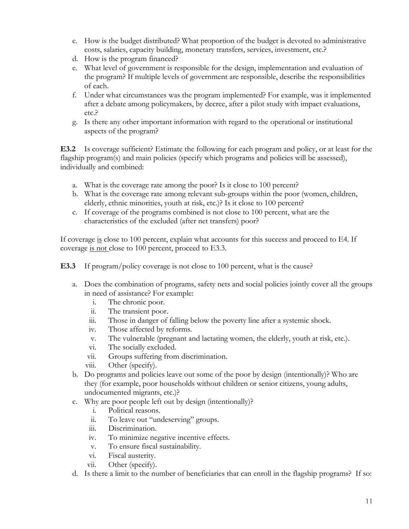- c. How is the budget distributed? What proportion of the budget is devoted to administrative costs, salaries, capacity building, monetary transfers, services, investment, etc.?
- d. How is the program financed?
- e. What level of government is responsible for the design, implementation and evaluation of the program? If multiple levels of government are responsible, describe the responsibilities of each.
- f. Under what circumstances was the program implemented? For example, was it implemented after a debate among policymakers, by decree, after a pilot study with impact evaluations, etc.?
- g. Is there any other important information with regard to the operational or institutional aspects of the program?

**E3.2** Is coverage sufficient? Estimate the following for each program and policy, or at least for the flagship program(s) and main policies (specify which programs and policies will be assessed), individually and combined:

- a. What is the coverage rate among the poor? Is it close to 100 percent?
- b. What is the coverage rate among relevant sub-groups within the poor (women, children, elderly, ethnic minorities, youth at risk, etc.)? Is it close to 100 percent?
- c. If coverage of the programs combined is not close to 100 percent, what are the characteristics of the excluded (after net transfers) poor?

If coverage is close to 100 percent, explain what accounts for this success and proceed to E4. If coverage is not close to 100 percent, proceed to E3.3.

**E3.3** If program/policy coverage is not close to 100 percent, what is the cause?

- a. Does the combination of programs, safety nets and social policies jointly cover all the groups in need of assistance? For example:
	- i. The chronic poor.
	- ii. The transient poor.
	- iii. Those in danger of falling below the poverty line after a systemic shock.
	- iv. Those affected by reforms.
	- v. The vulnerable (pregnant and lactating women, the elderly, youth at risk, etc.).
	- vi. The socially excluded.
	- vii. Groups suffering from discrimination.
	- viii. Other (specify).
- b. Do programs and policies leave out some of the poor by design (intentionally)? Who are they (for example, poor households without children or senior citizens, young adults, undocumented migrants, etc.)?
- c. Why are poor people left out by design (intentionally)?
	- i. Political reasons.
	- ii. To leave out "undeserving" groups.
	- iii. Discrimination.
	- iv. To minimize negative incentive effects.
	- v. To ensure fiscal sustainability.
	- vi. Fiscal austerity.
	- vii. Other (specify).
- d. Is there a limit to the number of beneficiaries that can enroll in the flagship programs? If so: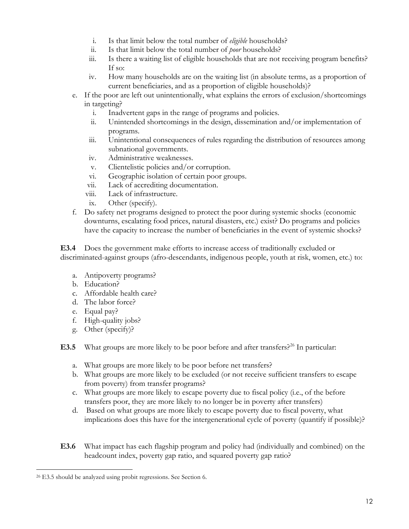- i. Is that limit below the total number of *eligible* households?
- ii. Is that limit below the total number of *poor* households?
- iii. Is there a waiting list of eligible households that are not receiving program benefits? If so:
- iv. How many households are on the waiting list (in absolute terms, as a proportion of current beneficiaries, and as a proportion of eligible households)?
- e. If the poor are left out unintentionally, what explains the errors of exclusion/shortcomings in targeting?
	- i. Inadvertent gaps in the range of programs and policies.
	- ii. Unintended shortcomings in the design, dissemination and/or implementation of programs.
	- iii. Unintentional consequences of rules regarding the distribution of resources among subnational governments.
	- iv. Administrative weaknesses.
	- v. Clientelistic policies and/or corruption.
	- vi. Geographic isolation of certain poor groups.
	- vii. Lack of accrediting documentation.
	- viii. Lack of infrastructure.
	- ix. Other (specify).
- f. Do safety net programs designed to protect the poor during systemic shocks (economic downturns, escalating food prices, natural disasters, etc.) exist? Do programs and policies have the capacity to increase the number of beneficiaries in the event of systemic shocks?

**E3.4** Does the government make efforts to increase access of traditionally excluded or discriminated-against groups (afro-descendants, indigenous people, youth at risk, women, etc.) to:

- a. Antipoverty programs?
- b. Education?
- c. Affordable health care?
- d. The labor force?
- e. Equal pay?
- f. High-quality jobs?
- g. Other (specify)?
- **E3.5** What groups are more likely to be poor before and after transfers?<sup>26</sup> In particular:
	- a. What groups are more likely to be poor before net transfers?
	- b. What groups are more likely to be excluded (or not receive sufficient transfers to escape from poverty) from transfer programs?
	- c. What groups are more likely to escape poverty due to fiscal policy (i.e., of the before transfers poor, they are more likely to no longer be in poverty after transfers)
	- d. Based on what groups are more likely to escape poverty due to fiscal poverty, what implications does this have for the intergenerational cycle of poverty (quantify if possible)?
- **E3.6** What impact has each flagship program and policy had (individually and combined) on the headcount index, poverty gap ratio, and squared poverty gap ratio?

 $\overline{a}$ <sup>26</sup> E3.5 should be analyzed using probit regressions. See Section 6.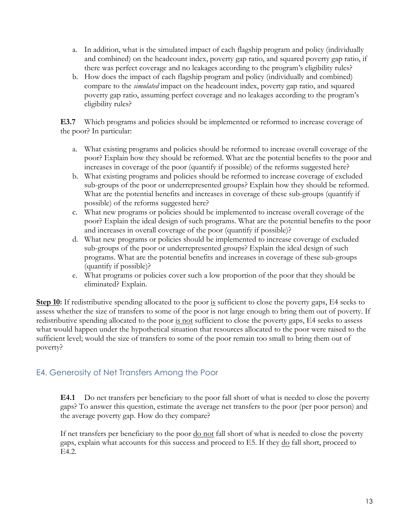- a. In addition, what is the simulated impact of each flagship program and policy (individually and combined) on the headcount index, poverty gap ratio, and squared poverty gap ratio, if there was perfect coverage and no leakages according to the program's eligibility rules?
- b. How does the impact of each flagship program and policy (individually and combined) compare to the *simulated* impact on the headcount index, poverty gap ratio, and squared poverty gap ratio, assuming perfect coverage and no leakages according to the program's eligibility rules?

**E3.7** Which programs and policies should be implemented or reformed to increase coverage of the poor? In particular:

- a. What existing programs and policies should be reformed to increase overall coverage of the poor? Explain how they should be reformed. What are the potential benefits to the poor and increases in coverage of the poor (quantify if possible) of the reforms suggested here?
- b. What existing programs and policies should be reformed to increase coverage of excluded sub-groups of the poor or underrepresented groups? Explain how they should be reformed. What are the potential benefits and increases in coverage of these sub-groups (quantify if possible) of the reforms suggested here?
- c. What new programs or policies should be implemented to increase overall coverage of the poor? Explain the ideal design of such programs. What are the potential benefits to the poor and increases in overall coverage of the poor (quantify if possible)?
- d. What new programs or policies should be implemented to increase coverage of excluded sub-groups of the poor or underrepresented groups? Explain the ideal design of such programs. What are the potential benefits and increases in coverage of these sub-groups (quantify if possible)?
- e. What programs or policies cover such a low proportion of the poor that they should be eliminated? Explain.

**Step 10:** If redistributive spending allocated to the poor is sufficient to close the poverty gaps, E4 seeks to assess whether the size of transfers to some of the poor is not large enough to bring them out of poverty. If redistributive spending allocated to the poor is not sufficient to close the poverty gaps, E4 seeks to assess what would happen under the hypothetical situation that resources allocated to the poor were raised to the sufficient level; would the size of transfers to some of the poor remain too small to bring them out of poverty?

# E4. Generosity of Net Transfers Among the Poor

**E4.1** Do net transfers per beneficiary to the poor fall short of what is needed to close the poverty gaps? To answer this question, estimate the average net transfers to the poor (per poor person) and the average poverty gap. How do they compare?

If net transfers per beneficiary to the poor do not fall short of what is needed to close the poverty gaps, explain what accounts for this success and proceed to E5. If they do fall short, proceed to E4.2.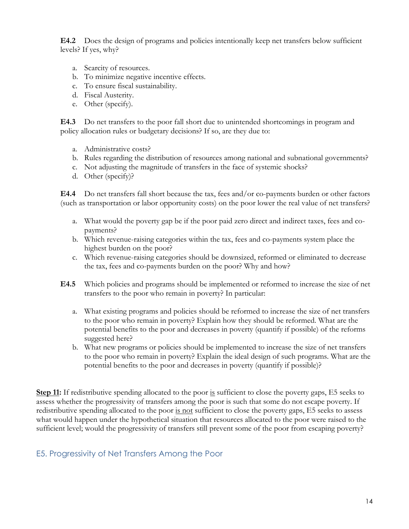**E4.2** Does the design of programs and policies intentionally keep net transfers below sufficient levels? If yes, why?

- a. Scarcity of resources.
- b. To minimize negative incentive effects.
- c. To ensure fiscal sustainability.
- d. Fiscal Austerity.
- e. Other (specify).

**E4.3** Do net transfers to the poor fall short due to unintended shortcomings in program and policy allocation rules or budgetary decisions? If so, are they due to:

- a. Administrative costs?
- b. Rules regarding the distribution of resources among national and subnational governments?
- c. Not adjusting the magnitude of transfers in the face of systemic shocks?
- d. Other (specify)?

**E4.4** Do net transfers fall short because the tax, fees and/or co-payments burden or other factors (such as transportation or labor opportunity costs) on the poor lower the real value of net transfers?

- a. What would the poverty gap be if the poor paid zero direct and indirect taxes, fees and copayments?
- b. Which revenue-raising categories within the tax, fees and co-payments system place the highest burden on the poor?
- c. Which revenue-raising categories should be downsized, reformed or eliminated to decrease the tax, fees and co-payments burden on the poor? Why and how?
- **E4.5** Which policies and programs should be implemented or reformed to increase the size of net transfers to the poor who remain in poverty? In particular:
	- a. What existing programs and policies should be reformed to increase the size of net transfers to the poor who remain in poverty? Explain how they should be reformed. What are the potential benefits to the poor and decreases in poverty (quantify if possible) of the reforms suggested here?
	- b. What new programs or policies should be implemented to increase the size of net transfers to the poor who remain in poverty? Explain the ideal design of such programs. What are the potential benefits to the poor and decreases in poverty (quantify if possible)?

**Step 11:** If redistributive spending allocated to the poor is sufficient to close the poverty gaps, E5 seeks to assess whether the progressivity of transfers among the poor is such that some do not escape poverty. If redistributive spending allocated to the poor is not sufficient to close the poverty gaps, E5 seeks to assess what would happen under the hypothetical situation that resources allocated to the poor were raised to the sufficient level; would the progressivity of transfers still prevent some of the poor from escaping poverty?

# E5. Progressivity of Net Transfers Among the Poor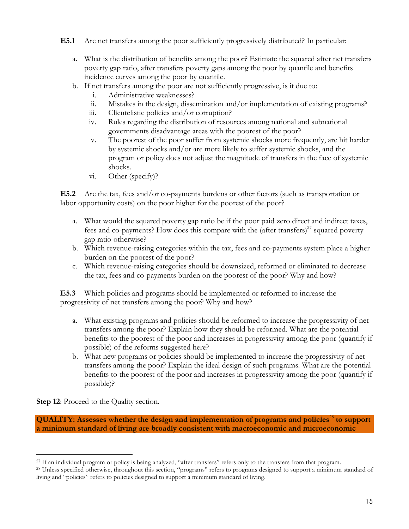**E5.1** Are net transfers among the poor sufficiently progressively distributed? In particular:

- a. What is the distribution of benefits among the poor? Estimate the squared after net transfers poverty gap ratio, after transfers poverty gaps among the poor by quantile and benefits incidence curves among the poor by quantile.
- b. If net transfers among the poor are not sufficiently progressive, is it due to:
	- i. Administrative weaknesses?
	- ii. Mistakes in the design, dissemination and/or implementation of existing programs?
	- iii. Clientelistic policies and/or corruption?
	- iv. Rules regarding the distribution of resources among national and subnational governments disadvantage areas with the poorest of the poor?
	- v. The poorest of the poor suffer from systemic shocks more frequently, are hit harder by systemic shocks and/or are more likely to suffer systemic shocks, and the program or policy does not adjust the magnitude of transfers in the face of systemic shocks.
	- vi. Other (specify)?

**E5.2** Are the tax, fees and/or co-payments burdens or other factors (such as transportation or labor opportunity costs) on the poor higher for the poorest of the poor?

- a. What would the squared poverty gap ratio be if the poor paid zero direct and indirect taxes, fees and co-payments? How does this compare with the (after transfers)<sup>27</sup> squared poverty gap ratio otherwise?
- b. Which revenue-raising categories within the tax, fees and co-payments system place a higher burden on the poorest of the poor?
- c. Which revenue-raising categories should be downsized, reformed or eliminated to decrease the tax, fees and co-payments burden on the poorest of the poor? Why and how?

**E5.3** Which policies and programs should be implemented or reformed to increase the progressivity of net transfers among the poor? Why and how?

- a. What existing programs and policies should be reformed to increase the progressivity of net transfers among the poor? Explain how they should be reformed. What are the potential benefits to the poorest of the poor and increases in progressivity among the poor (quantify if possible) of the reforms suggested here?
- b. What new programs or policies should be implemented to increase the progressivity of net transfers among the poor? Explain the ideal design of such programs. What are the potential benefits to the poorest of the poor and increases in progressivity among the poor (quantify if possible)?

**Step 12:** Proceed to the Quality section.

**QUALITY:** Assesses whether the design and implementation of programs and policies<sup>28</sup> to support **a minimum standard of living are broadly consistent with macroeconomic and microeconomic** 

 $\overline{a}$ <sup>27</sup> If an individual program or policy is being analyzed, "after transfers" refers only to the transfers from that program.

<sup>&</sup>lt;sup>28</sup> Unless specified otherwise, throughout this section, "programs" refers to programs designed to support a minimum standard of living and "policies" refers to policies designed to support a minimum standard of living.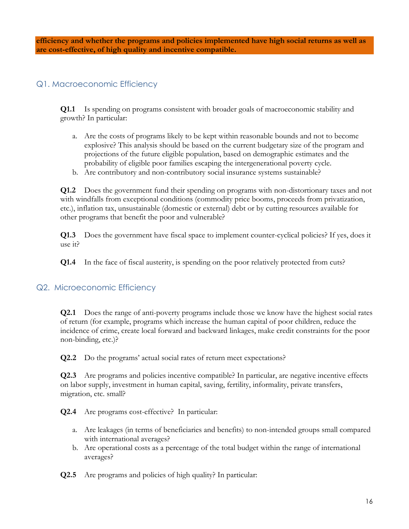**efficiency and whether the programs and policies implemented have high social returns as well as are cost-effective, of high quality and incentive compatible.** 

### Q1. Macroeconomic Efficiency

**Q1.1** Is spending on programs consistent with broader goals of macroeconomic stability and growth? In particular:

- a. Are the costs of programs likely to be kept within reasonable bounds and not to become explosive? This analysis should be based on the current budgetary size of the program and projections of the future eligible population, based on demographic estimates and the probability of eligible poor families escaping the intergenerational poverty cycle.
- b. Are contributory and non-contributory social insurance systems sustainable?

**Q1.2** Does the government fund their spending on programs with non-distortionary taxes and not with windfalls from exceptional conditions (commodity price booms, proceeds from privatization, etc.), inflation tax, unsustainable (domestic or external) debt or by cutting resources available for other programs that benefit the poor and vulnerable?

**Q1.3** Does the government have fiscal space to implement counter-cyclical policies? If yes, does it use it?

**Q1.4** In the face of fiscal austerity, is spending on the poor relatively protected from cuts?

# Q2. Microeconomic Efficiency

**Q2.1** Does the range of anti-poverty programs include those we know have the highest social rates of return (for example, programs which increase the human capital of poor children, reduce the incidence of crime, create local forward and backward linkages, make credit constraints for the poor non-binding, etc.)?

**Q2.2** Do the programs' actual social rates of return meet expectations?

**Q2.3** Are programs and policies incentive compatible? In particular, are negative incentive effects on labor supply, investment in human capital, saving, fertility, informality, private transfers, migration, etc. small?

**Q2.4** Are programs cost-effective? In particular:

- a. Are leakages (in terms of beneficiaries and benefits) to non-intended groups small compared with international averages?
- b. Are operational costs as a percentage of the total budget within the range of international averages?

**Q2.5** Are programs and policies of high quality? In particular: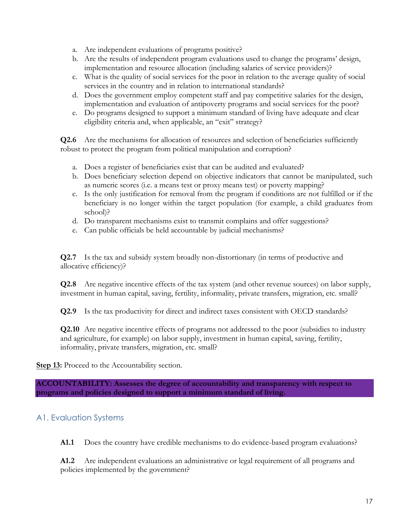- a. Are independent evaluations of programs positive?
- b. Are the results of independent program evaluations used to change the programs' design, implementation and resource allocation (including salaries of service providers)?
- c. What is the quality of social services for the poor in relation to the average quality of social services in the country and in relation to international standards?
- d. Does the government employ competent staff and pay competitive salaries for the design, implementation and evaluation of antipoverty programs and social services for the poor?
- e. Do programs designed to support a minimum standard of living have adequate and clear eligibility criteria and, when applicable, an "exit" strategy?

**Q2.6** Are the mechanisms for allocation of resources and selection of beneficiaries sufficiently robust to protect the program from political manipulation and corruption?

- a. Does a register of beneficiaries exist that can be audited and evaluated?
- b. Does beneficiary selection depend on objective indicators that cannot be manipulated, such as numeric scores (i.e. a means test or proxy means test) or poverty mapping?
- c. Is the only justification for removal from the program if conditions are not fulfilled or if the beneficiary is no longer within the target population (for example, a child graduates from school)?
- d. Do transparent mechanisms exist to transmit complains and offer suggestions?
- e. Can public officials be held accountable by judicial mechanisms?

**Q2.7** Is the tax and subsidy system broadly non-distortionary (in terms of productive and allocative efficiency)?

**Q2.8** Are negative incentive effects of the tax system (and other revenue sources) on labor supply, investment in human capital, saving, fertility, informality, private transfers, migration, etc. small?

**Q2.9** Is the tax productivity for direct and indirect taxes consistent with OECD standards?

**Q2.10** Are negative incentive effects of programs not addressed to the poor (subsidies to industry and agriculture, for example) on labor supply, investment in human capital, saving, fertility, informality, private transfers, migration, etc. small?

**Step 13:** Proceed to the Accountability section.

**ACCOUNTABILITY: Assesses the degree of accountability and transparency with respect to programs and policies designed to support a minimum standard of living.** 

# A1. Evaluation Systems

**A1.1** Does the country have credible mechanisms to do evidence-based program evaluations?

**A1.2** Are independent evaluations an administrative or legal requirement of all programs and policies implemented by the government?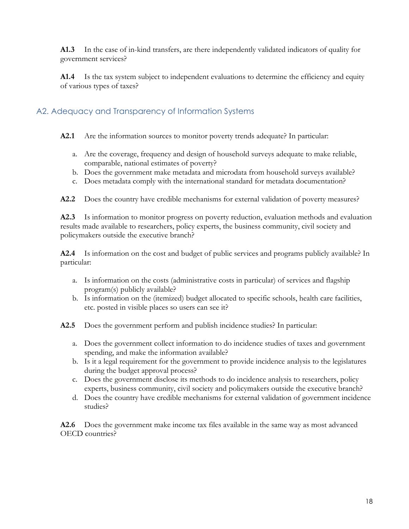**A1.3** In the case of in-kind transfers, are there independently validated indicators of quality for government services?

**A1.4** Is the tax system subject to independent evaluations to determine the efficiency and equity of various types of taxes?

# A2. Adequacy and Transparency of Information Systems

- **A2.1** Are the information sources to monitor poverty trends adequate? In particular:
	- a. Are the coverage, frequency and design of household surveys adequate to make reliable, comparable, national estimates of poverty?
	- b. Does the government make metadata and microdata from household surveys available?
	- c. Does metadata comply with the international standard for metadata documentation?

**A2.2** Does the country have credible mechanisms for external validation of poverty measures?

**A2.3** Is information to monitor progress on poverty reduction, evaluation methods and evaluation results made available to researchers, policy experts, the business community, civil society and policymakers outside the executive branch?

**A2.4** Is information on the cost and budget of public services and programs publicly available? In particular:

- a. Is information on the costs (administrative costs in particular) of services and flagship program(s) publicly available?
- b. Is information on the (itemized) budget allocated to specific schools, health care facilities, etc. posted in visible places so users can see it?
- **A2.5** Does the government perform and publish incidence studies? In particular:
	- a. Does the government collect information to do incidence studies of taxes and government spending, and make the information available?
	- b. Is it a legal requirement for the government to provide incidence analysis to the legislatures during the budget approval process?
	- c. Does the government disclose its methods to do incidence analysis to researchers, policy experts, business community, civil society and policymakers outside the executive branch?
	- d. Does the country have credible mechanisms for external validation of government incidence studies?

**A2.6** Does the government make income tax files available in the same way as most advanced OECD countries?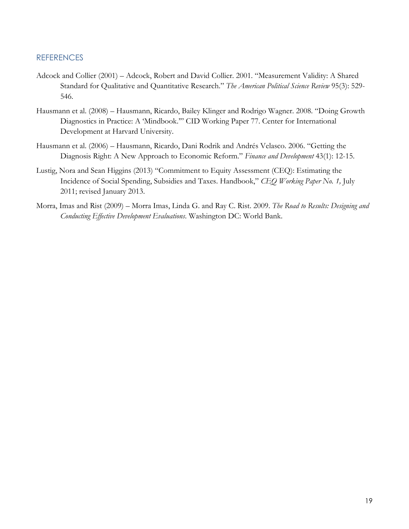### **REFERENCES**

- Adcock and Collier (2001) Adcock, Robert and David Collier. 2001. "Measurement Validity: A Shared Standard for Qualitative and Quantitative Research." *The American Political Science Review* 95(3): 529- 546.
- Hausmann et al. (2008) Hausmann, Ricardo, Bailey Klinger and Rodrigo Wagner. 2008. "Doing Growth Diagnostics in Practice: A 'Mindbook.'" CID Working Paper 77. Center for International Development at Harvard University.
- Hausmann et al. (2006) Hausmann, Ricardo, Dani Rodrik and Andrés Velasco. 2006. "Getting the Diagnosis Right: A New Approach to Economic Reform." *Finance and Development* 43(1): 12-15.
- Lustig, Nora and Sean Higgins (2013) "Commitment to Equity Assessment (CEQ): Estimating the Incidence of Social Spending, Subsidies and Taxes. Handbook," *CEQ Working Paper No. 1,* July 2011; revised January 2013.
- Morra, Imas and Rist (2009) Morra Imas, Linda G. and Ray C. Rist. 2009. *The Road to Results: Designing and Conducting Effective Development Evaluations*. Washington DC: World Bank.